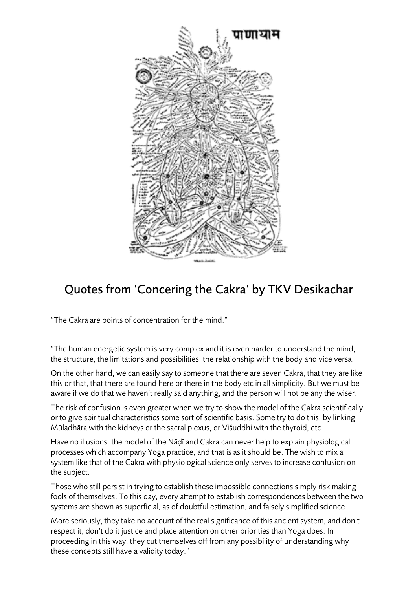

## Quotes from 'Concering the Cakra' by TKV Desikachar

"The Cakra are points of concentration for the mind."

"The human energetic system is very complex and it is even harder to understand the mind, the structure, the limitations and possibilities, the relationship with the body and vice versa.

On the other hand, we can easily say to someone that there are seven Cakra, that they are like this or that, that there are found here or there in the body etc in all simplicity. But we must be aware if we do that we haven't really said anything, and the person will not be any the wiser.

The risk of confusion is even greater when we try to show the model of the Cakra scientifically, or to give spiritual characteristics some sort of scientific basis. Some try to do this, by linking Mūladhāra with the kidneys or the sacral plexus, or Viśuddhi with the thyroid, etc.

Have no illusions: the model of the Nāḍī and Cakra can never help to explain physiological processes which accompany Yoga practice, and that is as it should be. The wish to mix a system like that of the Cakra with physiological science only serves to increase confusion on the subject.

Those who still persist in trying to establish these impossible connections simply risk making fools of themselves. To this day, every attempt to establish correspondences between the two systems are shown as superficial, as of doubtful estimation, and falsely simplified science.

More seriously, they take no account of the real significance of this ancient system, and don't respect it, don't do it justice and place attention on other priorities than Yoga does. In proceeding in this way, they cut themselves off from any possibility of understanding why these concepts still have a validity today."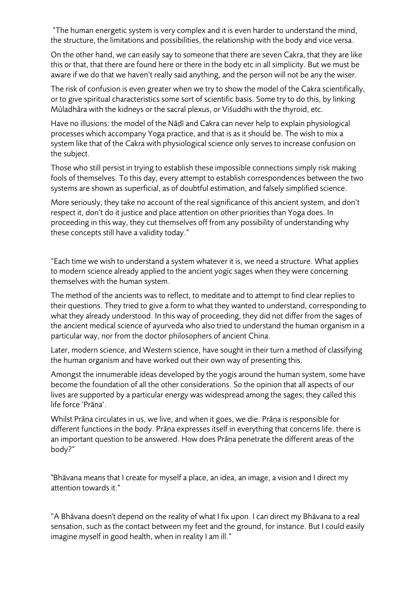"The human energetic system is very complex and it is even harder to understand the mind, the structure, the limitations and possibilities, the relationship with the body and vice versa.

On the other hand, we can easily say to someone that there are seven Cakra, that they are like this or that, that there are found here or there in the body etc in all simplicity. But we must be aware if we do that we haven't really said anything, and the person will not be any the wiser.

The risk of confusion is even greater when we try to show the model of the Cakra scientifically, or to give spiritual characteristics some sort of scientific basis. Some try to do this, by linking Mūladhāra with the kidneys or the sacral plexus, or Viśuddhi with the thyroid, etc.

Have no illusions: the model of the Nāḍī and Cakra can never help to explain physiological processes which accompany Yoga practice, and that is as it should be. The wish to mix a system like that of the Cakra with physiological science only serves to increase confusion on the subject.

Those who still persist in trying to establish these impossible connections simply risk making fools of themselves. To this day, every attempt to establish correspondences between the two systems are shown as superficial, as of doubtful estimation, and falsely simplified science.

More seriously, they take no account of the real significance of this ancient system, and don't respect it, don't do it justice and place attention on other priorities than Yoga does. In proceeding in this way, they cut themselves off from any possibility of understanding why these concepts still have a validity today."

"Each time we wish to understand a system whatever it is, we need a structure. What applies to modern science already applied to the ancient yogic sages when they were concerning themselves with the human system.

The method of the ancients was to reflect, to meditate and to attempt to find clear replies to their questions. They tried to give a form to what they wanted to understand, corresponding to what they already understood. In this way of proceeding, they did not differ from the sages of the ancient medical science of ayurveda who also tried to understand the human organism in a particular way, nor from the doctor philosophers of ancient China.

Later, modern science, and Western science, have sought in their turn a method of classifying the human organism and have worked out their own way of presenting this.

Amongst the innumerable ideas developed by the yogis around the human system, some have become the foundation of all the other considerations. So the opinion that all aspects of our lives are supported by a particular energy was widespread among the sages; they called this life force 'Prāṇa'.

Whilst Prāṇa circulates in us, we live, and when it goes, we die. Prāṇa is responsible for different functions in the body. Prāṇa expresses itself in everything that concerns life. there is an important question to be answered. How does Prāṇa penetrate the different areas of the body?"

"Bhāvana means that I create for myself a place, an idea, an image, a vision and I direct my attention towards it."

"A Bhāvana doesn't depend on the reality of what I fix upon. I can direct my Bhāvana to a real sensation, such as the contact between my feet and the ground, for instance. But I could easily imagine myself in good health, when in reality I am ill."